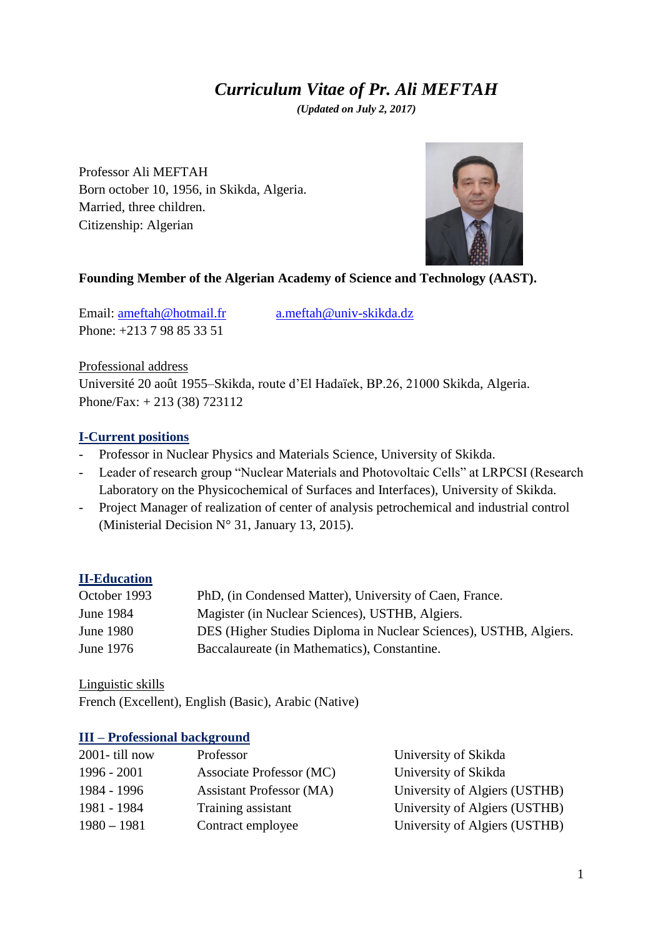# *Curriculum Vitae of Pr. Ali MEFTAH*

*(Updated on July 2, 2017)*

Professor Ali MEFTAH Born october 10, 1956, in Skikda, Algeria. Married, three children. Citizenship: Algerian



#### **Founding Member of the Algerian Academy of Science and Technology (AAST).**

Email: [ameftah@hotmail.fr](mailto:ameftah@hotmail.fr) [a.meftah@univ-skikda.dz](mailto:a.meftah@univ-skikda.dz) Phone: +213 7 98 85 33 51

Professional address Université 20 août 1955–Skikda, route d'El Hadaïek, BP.26, 21000 Skikda, Algeria. Phone/Fax: + 213 (38) 723112

#### **I-Current positions**

- Professor in Nuclear Physics and Materials Science, University of Skikda.
- Leader of research group "Nuclear Materials and Photovoltaic Cells" at LRPCSI (Research Laboratory on the Physicochemical of Surfaces and Interfaces), University of Skikda.
- Project Manager of realization of center of analysis petrochemical and industrial control (Ministerial Decision N° 31, January 13, 2015).

### **II-Education**

| October 1993 | PhD, (in Condensed Matter), University of Caen, France.           |
|--------------|-------------------------------------------------------------------|
| June 1984    | Magister (in Nuclear Sciences), USTHB, Algiers.                   |
| June 1980    | DES (Higher Studies Diploma in Nuclear Sciences), USTHB, Algiers. |
| June 1976    | Baccalaureate (in Mathematics), Constantine.                      |

Linguistic skills

French (Excellent), English (Basic), Arabic (Native)

#### **III – Professional background**

| $2001 -$ till now | Professor                       | University of Skikda          |
|-------------------|---------------------------------|-------------------------------|
| $1996 - 2001$     | Associate Professor (MC)        | University of Skikda          |
| 1984 - 1996       | <b>Assistant Professor (MA)</b> | University of Algiers (USTHB) |
| 1981 - 1984       | Training assistant              | University of Algiers (USTHB) |
| $1980 - 1981$     | Contract employee               | University of Algiers (USTHB) |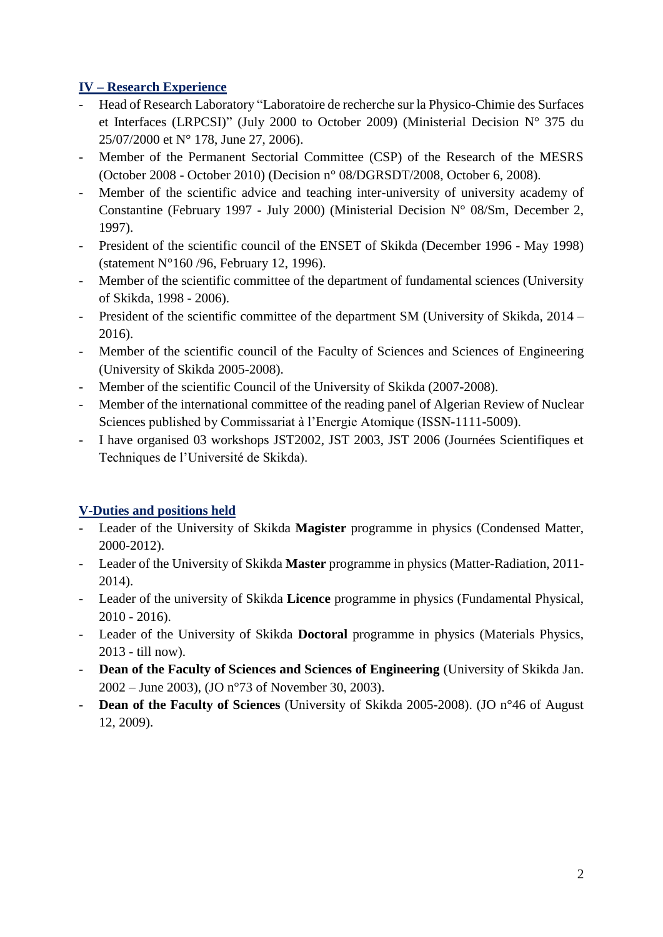### **IV – Research Experience**

- Head of Research Laboratory "Laboratoire de recherche sur la Physico-Chimie des Surfaces et Interfaces (LRPCSI)" (July 2000 to October 2009) (Ministerial Decision N° 375 du 25/07/2000 et N° 178, June 27, 2006).
- Member of the Permanent Sectorial Committee (CSP) of the Research of the MESRS (October 2008 - October 2010) (Decision n° 08/DGRSDT/2008, October 6, 2008).
- Member of the scientific advice and teaching inter-university of university academy of Constantine (February 1997 - July 2000) (Ministerial Decision N° 08/Sm, December 2, 1997).
- President of the scientific council of the ENSET of Skikda (December 1996 May 1998) (statement N°160 /96, February 12, 1996).
- Member of the scientific committee of the department of fundamental sciences (University of Skikda, 1998 - 2006).
- President of the scientific committee of the department SM (University of Skikda, 2014 2016).
- Member of the scientific council of the Faculty of Sciences and Sciences of Engineering (University of Skikda 2005-2008).
- Member of the scientific Council of the University of Skikda (2007-2008).
- Member of the international committee of the reading panel of Algerian Review of Nuclear Sciences published by Commissariat à l'Energie Atomique (ISSN-1111-5009).
- I have organised 03 workshops JST2002, JST 2003, JST 2006 (Journées Scientifiques et Techniques de l'Université de Skikda).

# **V-Duties and positions held**

- Leader of the University of Skikda **Magister** programme in physics (Condensed Matter, 2000-2012).
- Leader of the University of Skikda **Master** programme in physics (Matter-Radiation, 2011- 2014).
- Leader of the university of Skikda **Licence** programme in physics (Fundamental Physical, 2010 - 2016).
- Leader of the University of Skikda **Doctoral** programme in physics (Materials Physics, 2013 - till now).
- **Dean of the Faculty of Sciences and Sciences of Engineering** (University of Skikda Jan. 2002 – June 2003), (JO n°73 of November 30, 2003).
- **Dean of the Faculty of Sciences** (University of Skikda 2005-2008). (JO n°46 of August 12, 2009).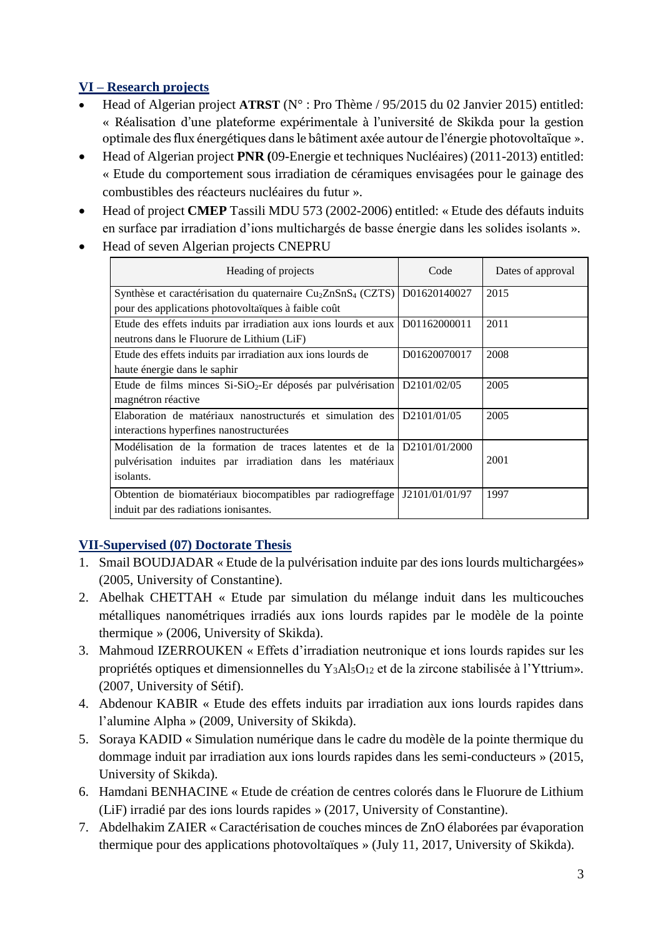# **VI – Research projects**

- Head of Algerian project **ATRST** (N° : Pro Thème / 95/2015 du 02 Janvier 2015) entitled: « Réalisation d'une plateforme expérimentale à l'université de Skikda pour la gestion optimale des flux énergétiques dans le bâtiment axée autour de l'énergie photovoltaïque ».
- Head of Algerian project **PNR (**09-Energie et techniques Nucléaires) (2011-2013) entitled: « Etude du comportement sous irradiation de céramiques envisagées pour le gainage des combustibles des réacteurs nucléaires du futur ».
- Head of project **CMEP** Tassili MDU 573 (2002-2006) entitled: « Etude des défauts induits en surface par irradiation d'ions multichargés de basse énergie dans les solides isolants ».
- Head of seven Algerian projects CNEPRU

| Heading of projects                                                                  | Code           | Dates of approval |
|--------------------------------------------------------------------------------------|----------------|-------------------|
| Synthèse et caractérisation du quaternaire Cu <sub>2</sub> ZnSnS <sub>4</sub> (CZTS) | D01620140027   | 2015              |
| pour des applications photovoltaïques à faible coût                                  |                |                   |
| Etude des effets induits par irradiation aux ions lourds et aux                      | D01162000011   | 2011              |
| neutrons dans le Fluorure de Lithium (LiF)                                           |                |                   |
| Etude des effets induits par irradiation aux ions lourds de                          | D01620070017   | 2008              |
| haute énergie dans le saphir                                                         |                |                   |
| Etude de films minces $Si-SiO2$ -Er déposés par pulvérisation $D2101/02/05$          |                | 2005              |
| magnétron réactive                                                                   |                |                   |
| Elaboration de matériaux nanostructurés et simulation des $D2101/01/05$              |                | 2005              |
| interactions hyperfines nanostructurées                                              |                |                   |
| Modélisation de la formation de traces latentes et de la $D2101/01/2000$             |                |                   |
| pulvérisation induites par irradiation dans les matériaux                            |                | 2001              |
| isolants.                                                                            |                |                   |
| Obtention de biomatériaux biocompatibles par radiogreffage                           | J2101/01/01/97 | 1997              |
| induit par des radiations ionisantes.                                                |                |                   |

# **VII-Supervised (07) Doctorate Thesis**

- 1. Smail BOUDJADAR « Etude de la pulvérisation induite par des ions lourds multichargées» (2005, University of Constantine).
- 2. Abelhak CHETTAH « Etude par simulation du mélange induit dans les multicouches métalliques nanométriques irradiés aux ions lourds rapides par le modèle de la pointe thermique » (2006, University of Skikda).
- 3. Mahmoud IZERROUKEN « Effets d'irradiation neutronique et ions lourds rapides sur les propriétés optiques et dimensionnelles du Y<sub>3</sub>Al<sub>5</sub>O<sub>12</sub> et de la zircone stabilisée à l'Yttrium». (2007, University of Sétif).
- 4. Abdenour KABIR « Etude des effets induits par irradiation aux ions lourds rapides dans l'alumine Alpha » (2009, University of Skikda).
- 5. Soraya KADID « Simulation numérique dans le cadre du modèle de la pointe thermique du dommage induit par irradiation aux ions lourds rapides dans les semi-conducteurs » (2015, University of Skikda).
- 6. Hamdani BENHACINE « Etude de création de centres colorés dans le Fluorure de Lithium (LiF) irradié par des ions lourds rapides » (2017, University of Constantine).
- 7. Abdelhakim ZAIER « Caractérisation de couches minces de ZnO élaborées par évaporation thermique pour des applications photovoltaïques » (July 11, 2017, University of Skikda).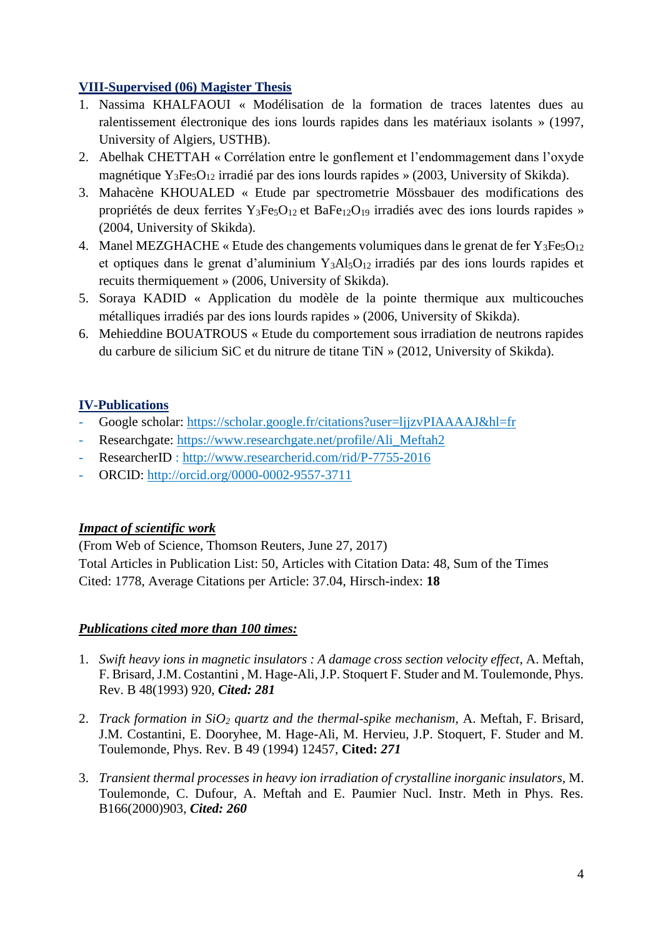### **VIII-Supervised (06) Magister Thesis**

- 1. Nassima KHALFAOUI « Modélisation de la formation de traces latentes dues au ralentissement électronique des ions lourds rapides dans les matériaux isolants » (1997, University of Algiers, USTHB).
- 2. Abelhak CHETTAH « Corrélation entre le gonflement et l'endommagement dans l'oxyde magnétique  $Y_3Fe_5O_{12}$  irradié par des ions lourds rapides » (2003, University of Skikda).
- 3. Mahacène KHOUALED « Etude par spectrometrie Mössbauer des modifications des propriétés de deux ferrites Y3Fe5O12 et BaFe12O<sup>19</sup> irradiés avec des ions lourds rapides » (2004, University of Skikda).
- 4. Manel MEZGHACHE « Etude des changements volumiques dans le grenat de fer  $Y_3Fe<sub>5</sub>O<sub>12</sub>$ et optiques dans le grenat d'aluminium  $Y_3A_3O_{12}$  irradiés par des ions lourds rapides et recuits thermiquement » (2006, University of Skikda).
- 5. Soraya KADID « Application du modèle de la pointe thermique aux multicouches métalliques irradiés par des ions lourds rapides » (2006, University of Skikda).
- 6. Mehieddine BOUATROUS « Etude du comportement sous irradiation de neutrons rapides du carbure de silicium SiC et du nitrure de titane TiN » (2012, University of Skikda).

# **IV-Publications**

- Google scholar:<https://scholar.google.fr/citations?user=ljjzvPIAAAAJ&hl=fr>
- Researchgate: [https://www.researchgate.net/profile/Ali\\_Meftah2](https://www.researchgate.net/profile/Ali_Meftah2)
- ResearcherID :<http://www.researcherid.com/rid/P-7755-2016>
- ORCID:<http://orcid.org/0000-0002-9557-3711>

# *Impact of scientific work*

(From Web of Science, Thomson Reuters, June 27, 2017) Total Articles in Publication List: 50, Articles with Citation Data: 48, Sum of the Times Cited: 1778, Average Citations per Article: 37.04, Hirsch-index: **18**

# *Publications cited more than 100 times:*

- 1. *Swift heavy ions in magnetic insulators : A damage cross section velocity effect*, A. Meftah, F. Brisard, J.M. Costantini , M. Hage-Ali, J.P. Stoquert F. Studer and M. Toulemonde, Phys. Rev. B 48(1993) 920, *Cited: 281*
- 2. *Track formation in SiO<sup>2</sup> quartz and the thermal-spike mechanism,* A. Meftah, F. Brisard, J.M. Costantini, E. Dooryhee, M. Hage-Ali, M. Hervieu, J.P. Stoquert, F. Studer and M. Toulemonde, Phys. Rev. B 49 (1994) 12457, **Cited:** *271*
- 3. *Transient thermal processes in heavy ion irradiation of crystalline inorganic insulators,* M. Toulemonde, C. Dufour, A. Meftah and E. Paumier Nucl. Instr. Meth in Phys. Res. B166(2000)903, *Cited: 260*